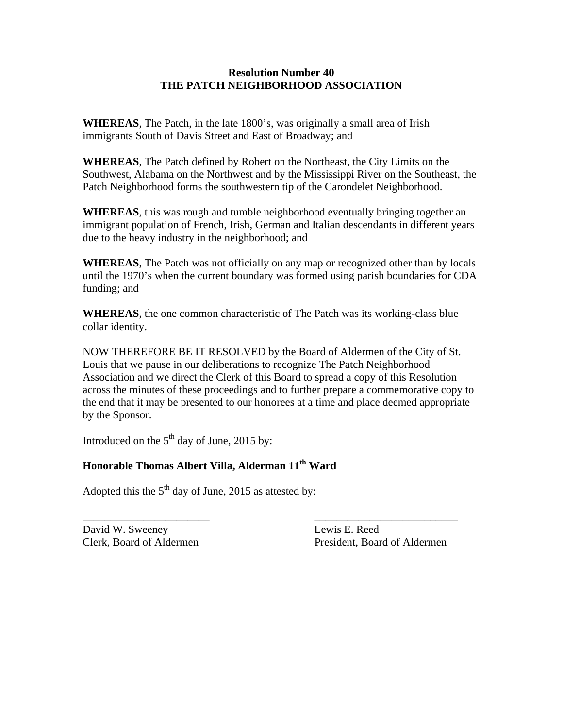## **Resolution Number 40 THE PATCH NEIGHBORHOOD ASSOCIATION**

**WHEREAS**, The Patch, in the late 1800's, was originally a small area of Irish immigrants South of Davis Street and East of Broadway; and

**WHEREAS**, The Patch defined by Robert on the Northeast, the City Limits on the Southwest, Alabama on the Northwest and by the Mississippi River on the Southeast, the Patch Neighborhood forms the southwestern tip of the Carondelet Neighborhood.

**WHEREAS**, this was rough and tumble neighborhood eventually bringing together an immigrant population of French, Irish, German and Italian descendants in different years due to the heavy industry in the neighborhood; and

**WHEREAS**, The Patch was not officially on any map or recognized other than by locals until the 1970's when the current boundary was formed using parish boundaries for CDA funding; and

**WHEREAS**, the one common characteristic of The Patch was its working-class blue collar identity.

NOW THEREFORE BE IT RESOLVED by the Board of Aldermen of the City of St. Louis that we pause in our deliberations to recognize The Patch Neighborhood Association and we direct the Clerk of this Board to spread a copy of this Resolution across the minutes of these proceedings and to further prepare a commemorative copy to the end that it may be presented to our honorees at a time and place deemed appropriate by the Sponsor.

\_\_\_\_\_\_\_\_\_\_\_\_\_\_\_\_\_\_\_\_\_\_\_ \_\_\_\_\_\_\_\_\_\_\_\_\_\_\_\_\_\_\_\_\_\_\_\_\_\_

Introduced on the  $5<sup>th</sup>$  day of June, 2015 by:

## **Honorable Thomas Albert Villa, Alderman 11th Ward**

Adopted this the  $5<sup>th</sup>$  day of June, 2015 as attested by:

David W. Sweeney Lewis E. Reed

Clerk, Board of Aldermen President, Board of Aldermen